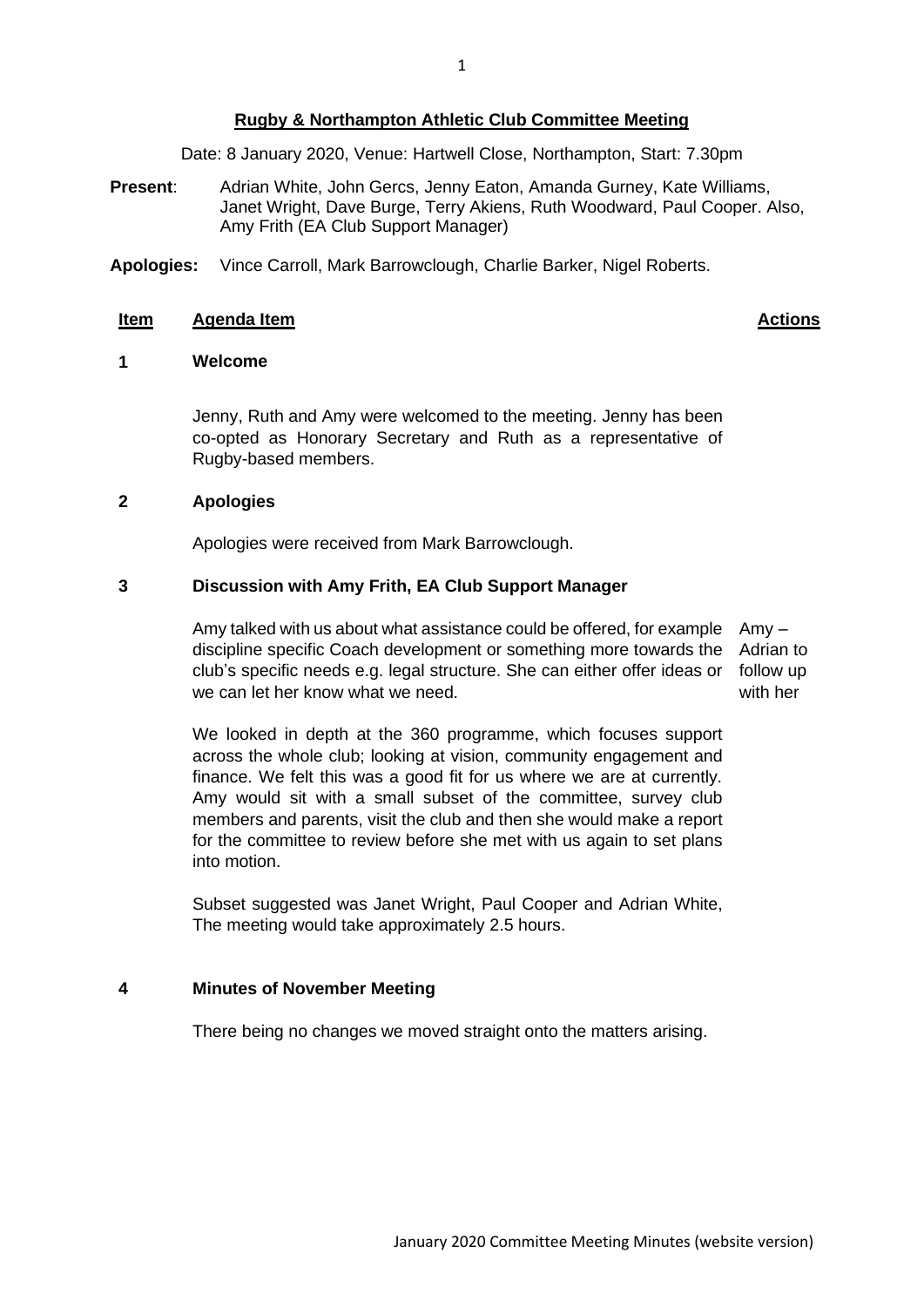# **Rugby & Northampton Athletic Club Committee Meeting**

Date: 8 January 2020, Venue: Hartwell Close, Northampton, Start: 7.30pm

- **Present**: Adrian White, John Gercs, Jenny Eaton, Amanda Gurney, Kate Williams, Janet Wright, Dave Burge, Terry Akiens, Ruth Woodward, Paul Cooper. Also, Amy Frith (EA Club Support Manager)
- **Apologies:** Vince Carroll, Mark Barrowclough, Charlie Barker, Nigel Roberts.

#### **Item Agenda Item Actions**

### **1 Welcome**

Jenny, Ruth and Amy were welcomed to the meeting. Jenny has been co-opted as Honorary Secretary and Ruth as a representative of Rugby-based members.

### **2 Apologies**

Apologies were received from Mark Barrowclough.

## **3 Discussion with Amy Frith, EA Club Support Manager**

Amy talked with us about what assistance could be offered, for example Amy – discipline specific Coach development or something more towards the club's specific needs e.g. legal structure. She can either offer ideas or follow up we can let her know what we need.

Adrian to with her

We looked in depth at the 360 programme, which focuses support across the whole club; looking at vision, community engagement and finance. We felt this was a good fit for us where we are at currently. Amy would sit with a small subset of the committee, survey club members and parents, visit the club and then she would make a report for the committee to review before she met with us again to set plans into motion.

Subset suggested was Janet Wright, Paul Cooper and Adrian White, The meeting would take approximately 2.5 hours.

#### **4 Minutes of November Meeting**

There being no changes we moved straight onto the matters arising.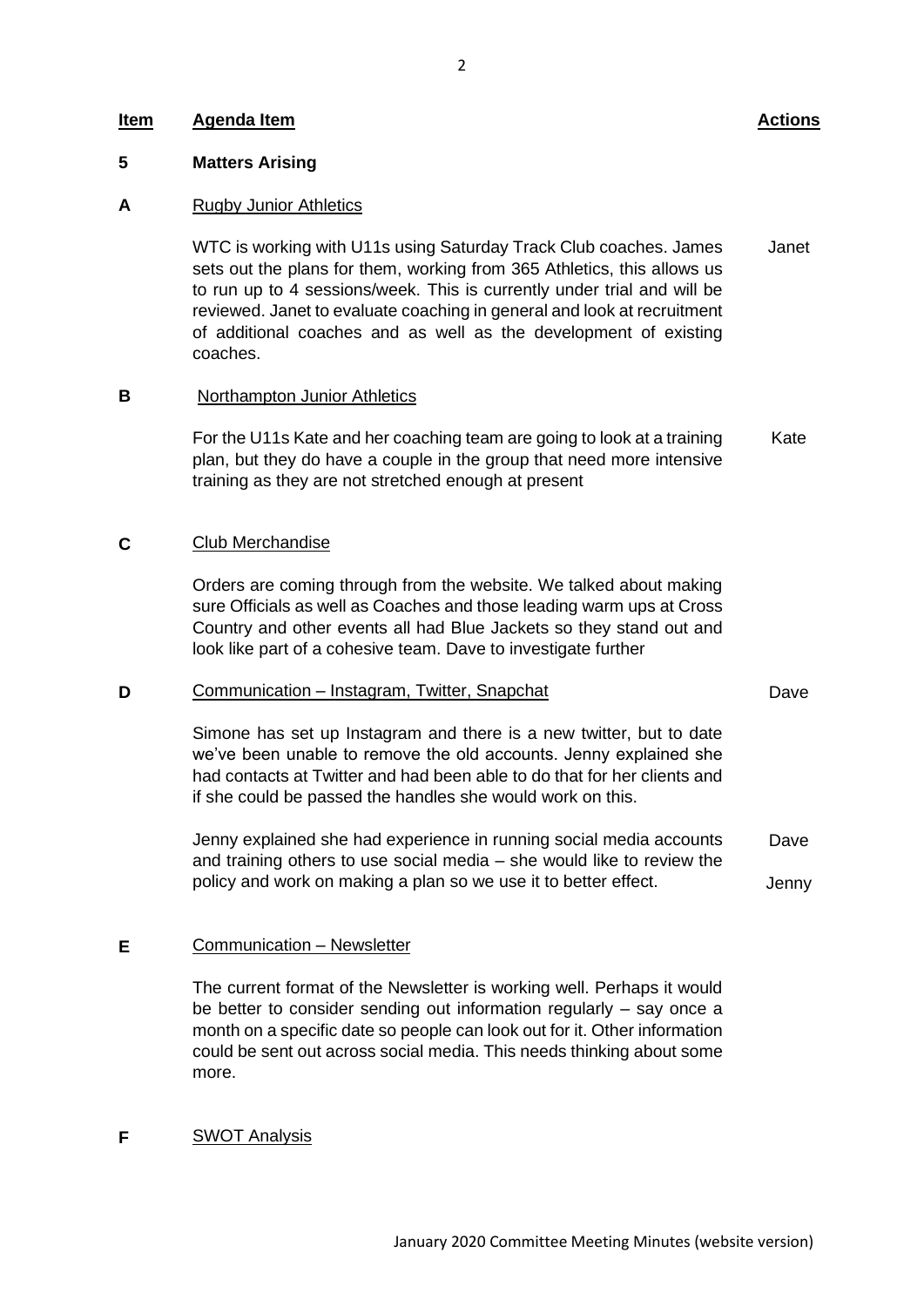### **Item Agenda Item Actions**

#### **5 Matters Arising**

#### **A** Rugby Junior Athletics

WTC is working with U11s using Saturday Track Club coaches. James sets out the plans for them, working from 365 Athletics, this allows us to run up to 4 sessions/week. This is currently under trial and will be reviewed. Janet to evaluate coaching in general and look at recruitment of additional coaches and as well as the development of existing coaches. Janet

#### **B** Northampton Junior Athletics

For the U11s Kate and her coaching team are going to look at a training plan, but they do have a couple in the group that need more intensive training as they are not stretched enough at present Kate

#### **C** Club Merchandise

Orders are coming through from the website. We talked about making sure Officials as well as Coaches and those leading warm ups at Cross Country and other events all had Blue Jackets so they stand out and look like part of a cohesive team. Dave to investigate further

#### **D** Communication – Instagram, Twitter, Snapchat

Simone has set up Instagram and there is a new twitter, but to date we've been unable to remove the old accounts. Jenny explained she had contacts at Twitter and had been able to do that for her clients and if she could be passed the handles she would work on this.

Jenny explained she had experience in running social media accounts and training others to use social media – she would like to review the policy and work on making a plan so we use it to better effect. Dave Jenny

#### **E** Communication – Newsletter

The current format of the Newsletter is working well. Perhaps it would be better to consider sending out information regularly – say once a month on a specific date so people can look out for it. Other information could be sent out across social media. This needs thinking about some more.

#### **F** SWOT Analysis

Dave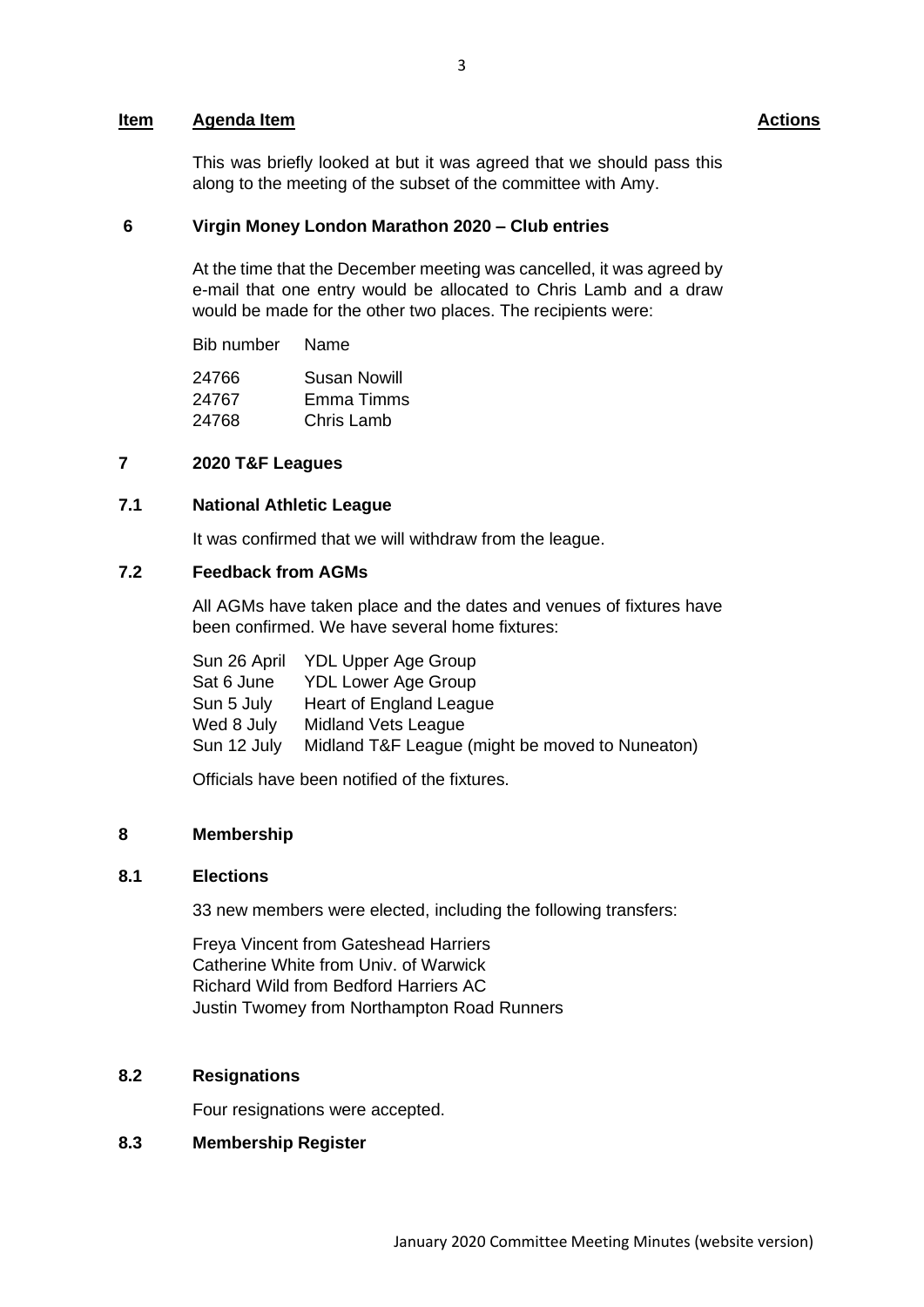## **Item Agenda Item Actions**

This was briefly looked at but it was agreed that we should pass this along to the meeting of the subset of the committee with Amy.

#### **6 Virgin Money London Marathon 2020 – Club entries**

At the time that the December meeting was cancelled, it was agreed by e-mail that one entry would be allocated to Chris Lamb and a draw would be made for the other two places. The recipients were:

Bib number Name

| 24766 | Susan Nowill |
|-------|--------------|
| 24767 | Emma Timms   |
| 24768 | Chris Lamb   |

### **7 2020 T&F Leagues**

## **7.1 National Athletic League**

It was confirmed that we will withdraw from the league.

# **7.2 Feedback from AGMs**

All AGMs have taken place and the dates and venues of fixtures have been confirmed. We have several home fixtures:

|             | Sun 26 April YDL Upper Age Group                |
|-------------|-------------------------------------------------|
| Sat 6 June  | YDL Lower Age Group                             |
| Sun 5 July  | Heart of England League                         |
| Wed 8 July  | <b>Midland Vets League</b>                      |
| Sun 12 July | Midland T&F League (might be moved to Nuneaton) |
|             |                                                 |

Officials have been notified of the fixtures.

## **8 Membership**

### **8.1 Elections**

33 new members were elected, including the following transfers:

Freya Vincent from Gateshead Harriers Catherine White from Univ. of Warwick Richard Wild from Bedford Harriers AC Justin Twomey from Northampton Road Runners

# **8.2 Resignations**

Four resignations were accepted.

# **8.3 Membership Register**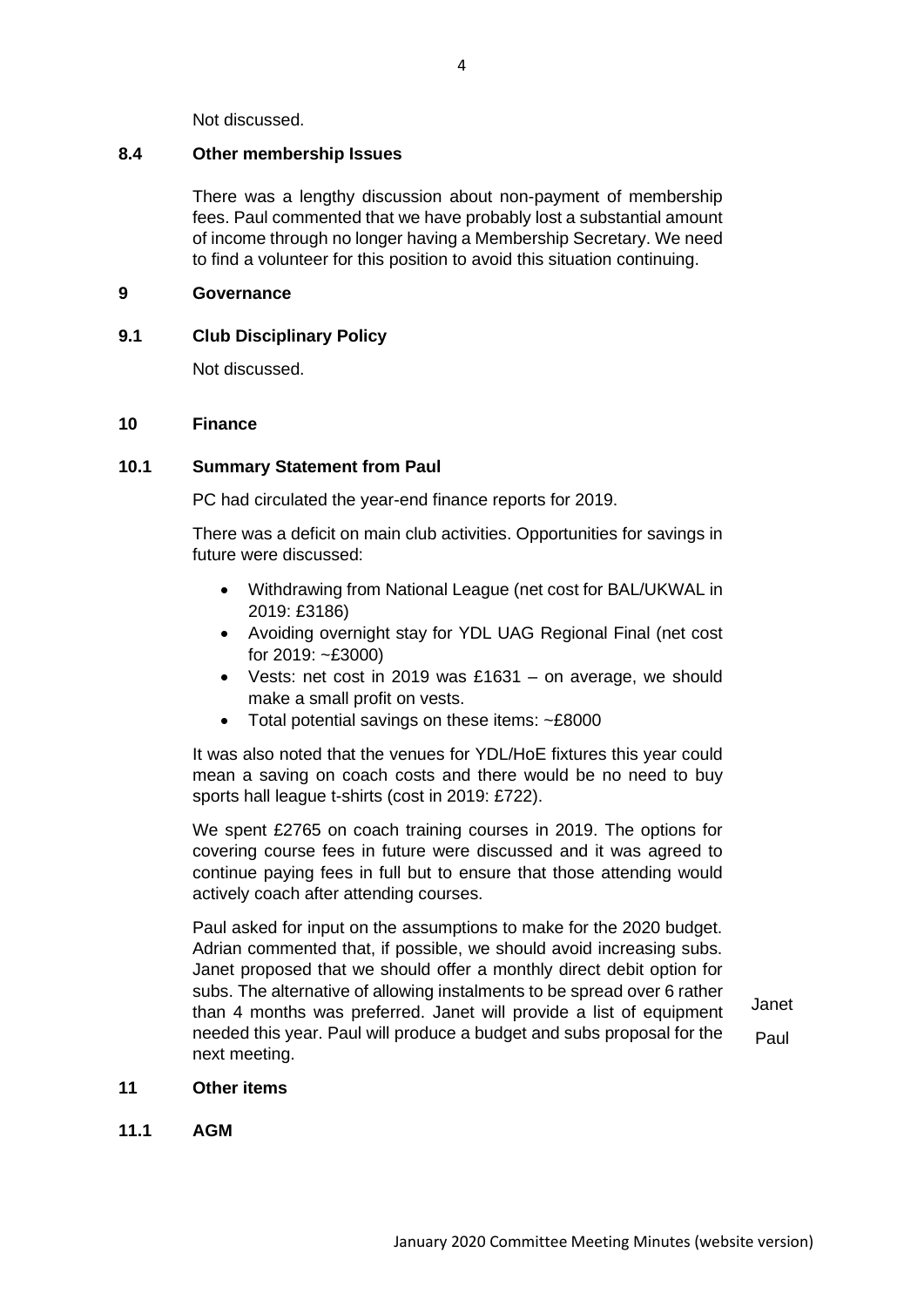Not discussed.

# **8.4 Other membership Issues**

There was a lengthy discussion about non-payment of membership fees. Paul commented that we have probably lost a substantial amount of income through no longer having a Membership Secretary. We need to find a volunteer for this position to avoid this situation continuing.

# **9 Governance**

# **9.1 Club Disciplinary Policy**

Not discussed.

# **10 Finance**

# **10.1 Summary Statement from Paul**

PC had circulated the year-end finance reports for 2019.

There was a deficit on main club activities. Opportunities for savings in future were discussed:

- Withdrawing from National League (net cost for BAL/UKWAL in 2019: £3186)
- Avoiding overnight stay for YDL UAG Regional Final (net cost for 2019: ~£3000)
- Vests: net cost in 2019 was £1631 on average, we should make a small profit on vests.
- Total potential savings on these items: ~£8000

It was also noted that the venues for YDL/HoE fixtures this year could mean a saving on coach costs and there would be no need to buy sports hall league t-shirts (cost in 2019: £722).

We spent £2765 on coach training courses in 2019. The options for covering course fees in future were discussed and it was agreed to continue paying fees in full but to ensure that those attending would actively coach after attending courses.

Paul asked for input on the assumptions to make for the 2020 budget. Adrian commented that, if possible, we should avoid increasing subs. Janet proposed that we should offer a monthly direct debit option for subs. The alternative of allowing instalments to be spread over 6 rather than 4 months was preferred. Janet will provide a list of equipment needed this year. Paul will produce a budget and subs proposal for the next meeting.

Janet Paul

## **11 Other items**

**11.1 AGM**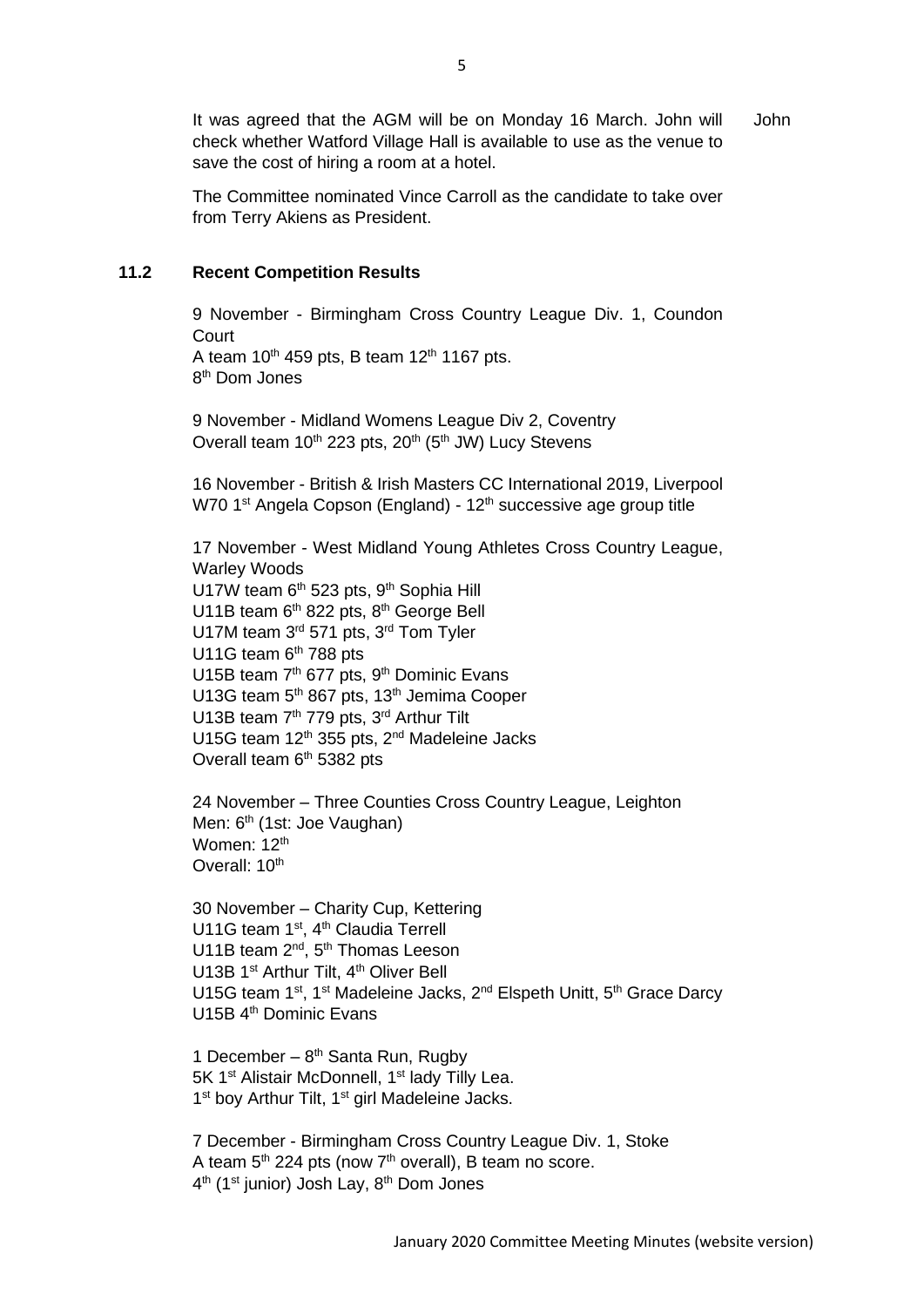It was agreed that the AGM will be on Monday 16 March. John will check whether Watford Village Hall is available to use as the venue to save the cost of hiring a room at a hotel. John

The Committee nominated Vince Carroll as the candidate to take over from Terry Akiens as President.

# **11.2 Recent Competition Results**

9 November - Birmingham Cross Country League Div. 1, Coundon Court A team  $10^{th}$  459 pts, B team  $12^{th}$  1167 pts. 8 th Dom Jones

9 November - Midland Womens League Div 2, Coventry Overall team 10<sup>th</sup> 223 pts, 20<sup>th</sup> (5<sup>th</sup> JW) Lucy Stevens

16 November - British & Irish Masters CC International 2019, Liverpool W70 1<sup>st</sup> Angela Copson (England) - 12<sup>th</sup> successive age group title

17 November - West Midland Young Athletes Cross Country League, Warley Woods U17W team 6<sup>th</sup> 523 pts, 9<sup>th</sup> Sophia Hill U11B team 6<sup>th</sup> 822 pts, 8<sup>th</sup> George Bell U17M team 3<sup>rd</sup> 571 pts, 3<sup>rd</sup> Tom Tyler U11G team  $6<sup>th</sup>$  788 pts U15B team 7<sup>th</sup> 677 pts, 9<sup>th</sup> Dominic Evans U13G team 5<sup>th</sup> 867 pts, 13<sup>th</sup> Jemima Cooper U13B team 7<sup>th</sup> 779 pts, 3<sup>rd</sup> Arthur Tilt U15G team 12<sup>th</sup> 355 pts, 2<sup>nd</sup> Madeleine Jacks Overall team 6<sup>th</sup> 5382 pts

24 November – Three Counties Cross Country League, Leighton Men: 6<sup>th</sup> (1st: Joe Vaughan) Women: 12<sup>th</sup> Overall: 10<sup>th</sup>

30 November – Charity Cup, Kettering U11G team 1<sup>st</sup>, 4<sup>th</sup> Claudia Terrell U11B team 2<sup>nd</sup>, 5<sup>th</sup> Thomas Leeson U13B 1<sup>st</sup> Arthur Tilt, 4<sup>th</sup> Oliver Bell U15G team 1st, 1st Madeleine Jacks, 2<sup>nd</sup> Elspeth Unitt, 5<sup>th</sup> Grace Darcy U15B 4<sup>th</sup> Dominic Evans

1 December -  $8<sup>th</sup>$  Santa Run, Rugby 5K 1<sup>st</sup> Alistair McDonnell, 1<sup>st</sup> lady Tilly Lea. 1<sup>st</sup> boy Arthur Tilt, 1<sup>st</sup> girl Madeleine Jacks.

7 December - Birmingham Cross Country League Div. 1, Stoke A team 5<sup>th</sup> 224 pts (now 7<sup>th</sup> overall), B team no score. 4<sup>th</sup> (1<sup>st</sup> junior) Josh Lay, 8<sup>th</sup> Dom Jones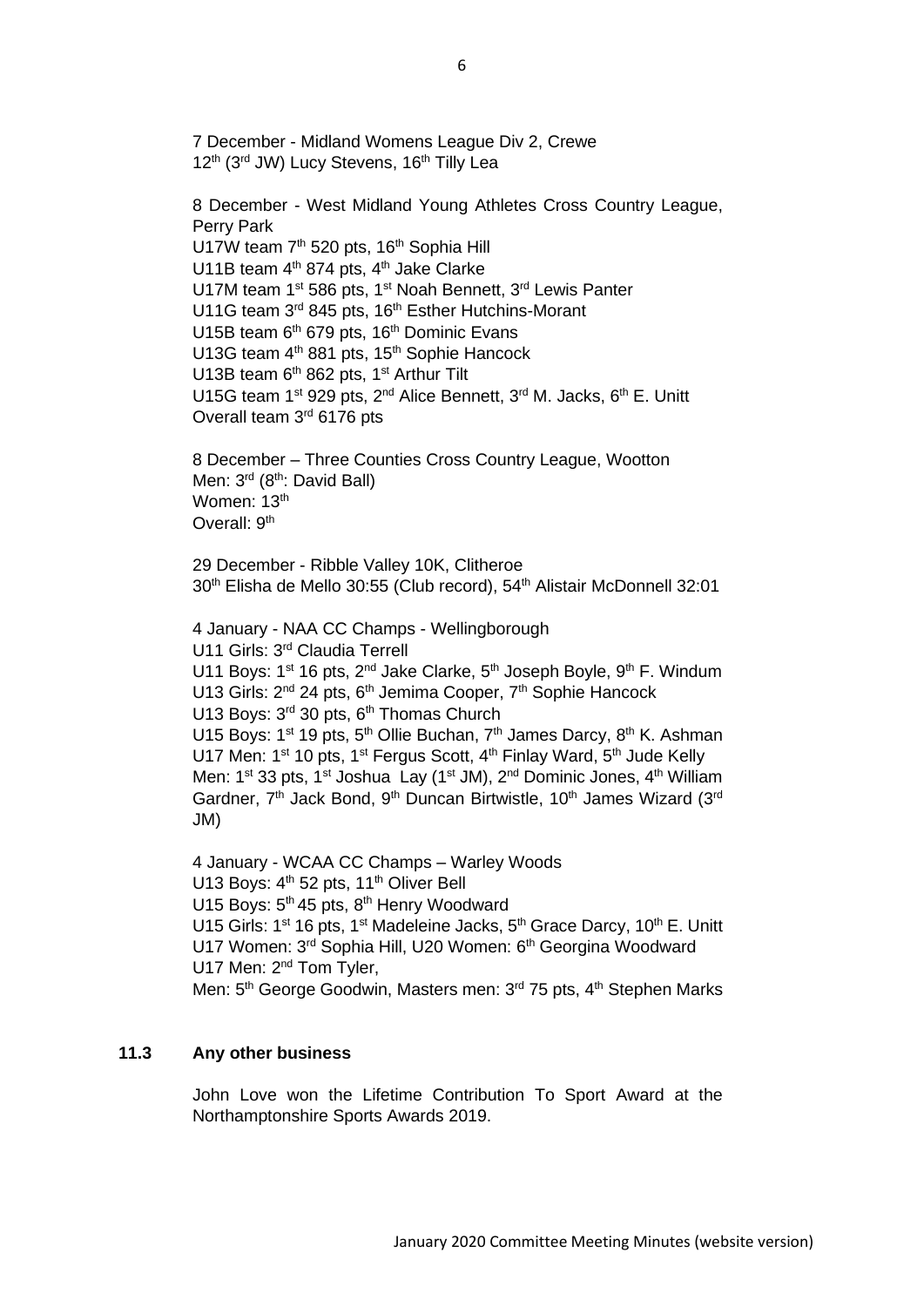12<sup>th</sup> (3<sup>rd</sup> JW) Lucy Stevens, 16<sup>th</sup> Tilly Lea 8 December - West Midland Young Athletes Cross Country League, Perry Park U17W team 7<sup>th</sup> 520 pts, 16<sup>th</sup> Sophia Hill U11B team 4<sup>th</sup> 874 pts, 4<sup>th</sup> Jake Clarke U17M team 1<sup>st</sup> 586 pts, 1<sup>st</sup> Noah Bennett, 3<sup>rd</sup> Lewis Panter U11G team 3<sup>rd</sup> 845 pts, 16<sup>th</sup> Esther Hutchins-Morant U15B team 6<sup>th</sup> 679 pts, 16<sup>th</sup> Dominic Evans U13G team 4<sup>th</sup> 881 pts, 15<sup>th</sup> Sophie Hancock U13B team 6<sup>th</sup> 862 pts, 1<sup>st</sup> Arthur Tilt U15G team 1<sup>st</sup> 929 pts, 2<sup>nd</sup> Alice Bennett, 3<sup>rd</sup> M. Jacks, 6<sup>th</sup> E. Unitt Overall team 3<sup>rd</sup> 6176 pts

8 December – Three Counties Cross Country League, Wootton Men: 3<sup>rd</sup> (8<sup>th</sup>: David Ball) Women: 13<sup>th</sup> Overall: 9<sup>th</sup>

29 December - Ribble Valley 10K, Clitheroe 30<sup>th</sup> Elisha de Mello 30:55 (Club record), 54<sup>th</sup> Alistair McDonnell 32:01

4 January - NAA CC Champs - Wellingborough U11 Girls: 3<sup>rd</sup> Claudia Terrell U11 Boys:  $1^{st}$  16 pts,  $2^{nd}$  Jake Clarke,  $5^{th}$  Joseph Boyle,  $9^{th}$  F. Windum U13 Girls: 2<sup>nd</sup> 24 pts, 6<sup>th</sup> Jemima Cooper, 7<sup>th</sup> Sophie Hancock U13 Boys: 3<sup>rd</sup> 30 pts, 6<sup>th</sup> Thomas Church U15 Boys: 1<sup>st</sup> 19 pts, 5<sup>th</sup> Ollie Buchan, 7<sup>th</sup> James Darcy, 8<sup>th</sup> K. Ashman U17 Men: 1<sup>st</sup> 10 pts, 1<sup>st</sup> Fergus Scott, 4<sup>th</sup> Finlay Ward, 5<sup>th</sup> Jude Kelly Men: 1<sup>st</sup> 33 pts, 1<sup>st</sup> Joshua Lay (1<sup>st</sup> JM), 2<sup>nd</sup> Dominic Jones, 4<sup>th</sup> William Gardner, 7<sup>th</sup> Jack Bond, 9<sup>th</sup> Duncan Birtwistle, 10<sup>th</sup> James Wizard (3<sup>rd</sup>) JM)

4 January - WCAA CC Champs – Warley Woods U13 Boys: 4<sup>th</sup> 52 pts, 11<sup>th</sup> Oliver Bell U15 Boys: 5<sup>th</sup> 45 pts, 8<sup>th</sup> Henry Woodward U15 Girls: 1<sup>st</sup> 16 pts, 1<sup>st</sup> Madeleine Jacks, 5<sup>th</sup> Grace Darcy, 10<sup>th</sup> E. Unitt U17 Women: 3<sup>rd</sup> Sophia Hill, U20 Women: 6<sup>th</sup> Georgina Woodward U17 Men: 2<sup>nd</sup> Tom Tyler, Men: 5<sup>th</sup> George Goodwin, Masters men: 3<sup>rd</sup> 75 pts, 4<sup>th</sup> Stephen Marks

# **11.3 Any other business**

John Love won the Lifetime Contribution To Sport Award at the Northamptonshire Sports Awards 2019.

7 December - Midland Womens League Div 2, Crewe